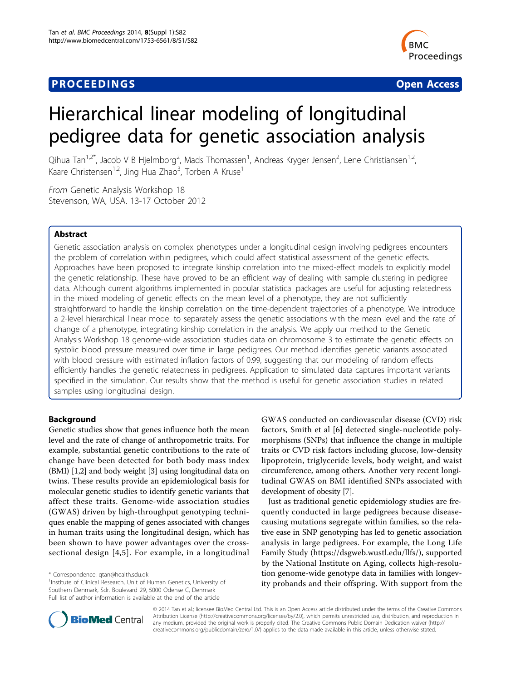# **PROCEEDINGS CONSUMING S** Open Access **CONSUMING S**



# Hierarchical linear modeling of longitudinal pedigree data for genetic association analysis

Qihua Tan<sup>1,2\*</sup>, Jacob V B Hjelmborg<sup>2</sup>, Mads Thomassen<sup>1</sup>, Andreas Kryger Jensen<sup>2</sup>, Lene Christiansen<sup>1,2</sup>, Kaare Christensen<sup>1,2</sup>, Jing Hua Zhao<sup>3</sup>, Torben A Kruse<sup>1</sup>

From Genetic Analysis Workshop 18 Stevenson, WA, USA. 13-17 October 2012

# Abstract

Genetic association analysis on complex phenotypes under a longitudinal design involving pedigrees encounters the problem of correlation within pedigrees, which could affect statistical assessment of the genetic effects. Approaches have been proposed to integrate kinship correlation into the mixed-effect models to explicitly model the genetic relationship. These have proved to be an efficient way of dealing with sample clustering in pedigree data. Although current algorithms implemented in popular statistical packages are useful for adjusting relatedness in the mixed modeling of genetic effects on the mean level of a phenotype, they are not sufficiently straightforward to handle the kinship correlation on the time-dependent trajectories of a phenotype. We introduce a 2-level hierarchical linear model to separately assess the genetic associations with the mean level and the rate of change of a phenotype, integrating kinship correlation in the analysis. We apply our method to the Genetic Analysis Workshop 18 genome-wide association studies data on chromosome 3 to estimate the genetic effects on systolic blood pressure measured over time in large pedigrees. Our method identifies genetic variants associated with blood pressure with estimated inflation factors of 0.99, suggesting that our modeling of random effects efficiently handles the genetic relatedness in pedigrees. Application to simulated data captures important variants specified in the simulation. Our results show that the method is useful for genetic association studies in related samples using longitudinal design.

# Background

Genetic studies show that genes influence both the mean level and the rate of change of anthropometric traits. For example, substantial genetic contributions to the rate of change have been detected for both body mass index (BMI) [\[1,2](#page-5-0)] and body weight [[3](#page-5-0)] using longitudinal data on twins. These results provide an epidemiological basis for molecular genetic studies to identify genetic variants that affect these traits. Genome-wide association studies (GWAS) driven by high-throughput genotyping techniques enable the mapping of genes associated with changes in human traits using the longitudinal design, which has been shown to have power advantages over the crosssectional design [[4,5](#page-5-0)]. For example, in a longitudinal

<sup>1</sup>Institute of Clinical Research, Unit of Human Genetics, University of Southern Denmark, Sdr. Boulevard 29, 5000 Odense C, Denmark Full list of author information is available at the end of the article

GWAS conducted on cardiovascular disease (CVD) risk factors, Smith et al [\[6\]](#page-5-0) detected single-nucleotide polymorphisms (SNPs) that influence the change in multiple traits or CVD risk factors including glucose, low-density lipoprotein, triglyceride levels, body weight, and waist circumference, among others. Another very recent longitudinal GWAS on BMI identified SNPs associated with development of obesity [[7](#page-5-0)].

Just as traditional genetic epidemiology studies are frequently conducted in large pedigrees because diseasecausing mutations segregate within families, so the relative ease in SNP genotyping has led to genetic association analysis in large pedigrees. For example, the Long Life Family Study [\(https://dsgweb.wustl.edu/llfs/](https://dsgweb.wustl.edu/llfs)), supported by the National Institute on Aging, collects high-resolution genome-wide genotype data in families with longevity probands and their offspring. With support from the



© 2014 Tan et al.; licensee BioMed Central Ltd. This is an Open Access article distributed under the terms of the Creative Commons Attribution License [\(http://creativecommons.org/licenses/by/2.0](http://creativecommons.org/licenses/by/2.0)), which permits unrestricted use, distribution, and reproduction in any medium, provided the original work is properly cited. The Creative Commons Public Domain Dedication waiver [\(http://](http://creativecommons.org/publicdomain/zero/1.0/) [creativecommons.org/publicdomain/zero/1.0/](http://creativecommons.org/publicdomain/zero/1.0/)) applies to the data made available in this article, unless otherwise stated.

<sup>\*</sup> Correspondence: [qtan@health.sdu.dk](mailto:qtan@health.sdu.dk)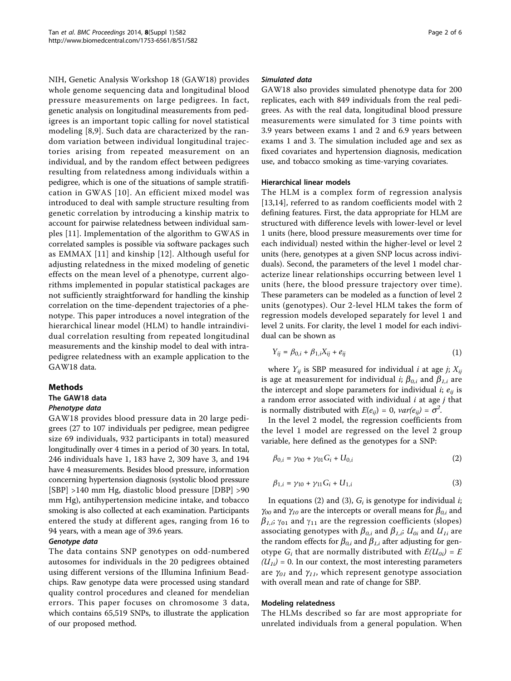NIH, Genetic Analysis Workshop 18 (GAW18) provides whole genome sequencing data and longitudinal blood pressure measurements on large pedigrees. In fact, genetic analysis on longitudinal measurements from pedigrees is an important topic calling for novel statistical modeling [[8,9](#page-5-0)]. Such data are characterized by the random variation between individual longitudinal trajectories arising from repeated measurement on an individual, and by the random effect between pedigrees resulting from relatedness among individuals within a pedigree, which is one of the situations of sample stratification in GWAS [[10\]](#page-5-0). An efficient mixed model was introduced to deal with sample structure resulting from genetic correlation by introducing a kinship matrix to account for pairwise relatedness between individual samples [\[11](#page-5-0)]. Implementation of the algorithm to GWAS in correlated samples is possible via software packages such as EMMAX [\[11\]](#page-5-0) and kinship [[12](#page-5-0)]. Although useful for adjusting relatedness in the mixed modeling of genetic effects on the mean level of a phenotype, current algorithms implemented in popular statistical packages are not sufficiently straightforward for handling the kinship correlation on the time-dependent trajectories of a phenotype. This paper introduces a novel integration of the hierarchical linear model (HLM) to handle intraindividual correlation resulting from repeated longitudinal measurements and the kinship model to deal with intrapedigree relatedness with an example application to the GAW18 data.

# Methods

# The GAW18 data

## Phenotype data

GAW18 provides blood pressure data in 20 large pedigrees (27 to 107 individuals per pedigree, mean pedigree size 69 individuals, 932 participants in total) measured longitudinally over 4 times in a period of 30 years. In total, 246 individuals have 1, 183 have 2, 309 have 3, and 194 have 4 measurements. Besides blood pressure, information concerning hypertension diagnosis (systolic blood pressure [SBP] >140 mm Hg, diastolic blood pressure [DBP] >90 mm Hg), antihypertension medicine intake, and tobacco smoking is also collected at each examination. Participants entered the study at different ages, ranging from 16 to 94 years, with a mean age of 39.6 years.

#### Genotype data

The data contains SNP genotypes on odd-numbered autosomes for individuals in the 20 pedigrees obtained using different versions of the Illumina Infinium Beadchips. Raw genotype data were processed using standard quality control procedures and cleaned for mendelian errors. This paper focuses on chromosome 3 data, which contains 65,519 SNPs, to illustrate the application of our proposed method.

#### Simulated data

GAW18 also provides simulated phenotype data for 200 replicates, each with 849 individuals from the real pedigrees. As with the real data, longitudinal blood pressure measurements were simulated for 3 time points with 3.9 years between exams 1 and 2 and 6.9 years between exams 1 and 3. The simulation included age and sex as fixed covariates and hypertension diagnosis, medication use, and tobacco smoking as time-varying covariates.

### Hierarchical linear models

The HLM is a complex form of regression analysis [[13,14](#page-5-0)], referred to as random coefficients model with 2 defining features. First, the data appropriate for HLM are structured with difference levels with lower-level or level 1 units (here, blood pressure measurements over time for each individual) nested within the higher-level or level 2 units (here, genotypes at a given SNP locus across individuals). Second, the parameters of the level 1 model characterize linear relationships occurring between level 1 units (here, the blood pressure trajectory over time). These parameters can be modeled as a function of level 2 units (genotypes). Our 2-level HLM takes the form of regression models developed separately for level 1 and level 2 units. For clarity, the level 1 model for each individual can be shown as

$$
Y_{ij} = \beta_{0,i} + \beta_{1,i} X_{ij} + e_{ij}
$$
 (1)

where  $Y_{ij}$  is SBP measured for individual *i* at age *j*;  $X_{ij}$ is age at measurement for individual *i*;  $\beta_{0,i}$  and  $\beta_{1,i}$  are the intercept and slope parameters for individual  $i; e_{ii}$  is a random error associated with individual  $i$  at age  $j$  that is normally distributed with  $E(e_{ij}) = 0$ ,  $var(e_{ij}) = \sigma^2$ .<br>In the level 2 model, the regression coefficients

In the level 2 model, the regression coefficients from the level 1 model are regressed on the level 2 group variable, here defined as the genotypes for a SNP:

$$
\beta_{0,i} = \gamma_{00} + \gamma_{01} G_i + U_{0,i} \tag{2}
$$

$$
\beta_{1,i} = \gamma_{10} + \gamma_{11} G_i + U_{1,i} \tag{3}
$$

In equations (2) and (3),  $G_i$  is genotype for individual *i*;  $\gamma_{00}$  and  $\gamma_{10}$  are the intercepts or overall means for  $\beta_{0,i}$  and  $\beta_{1,i}$ ;  $\gamma_{01}$  and  $\gamma_{11}$  are the regression coefficients (slopes) associating genotypes with  $\beta_{0,i}$  and  $\beta_{1,i}$ ;  $U_{0i}$  and  $U_{1i}$  are the random effects for  $\beta_{0,i}$  and  $\beta_{1,i}$  after adjusting for genotype  $G_i$  that are normally distributed with  $E(U_{0i})=E$  $(U_{1i})$  = 0. In our context, the most interesting parameters are  $\gamma_{01}$  and  $\gamma_{11}$ , which represent genotype association with overall mean and rate of change for SBP.

#### Modeling relatedness

The HLMs described so far are most appropriate for unrelated individuals from a general population. When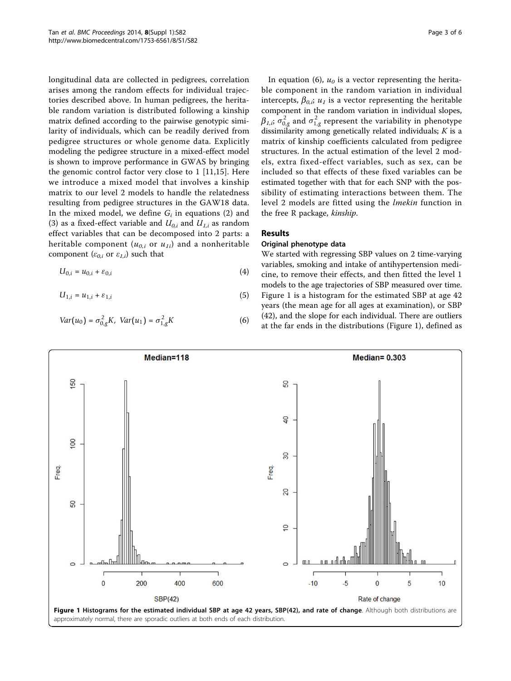<span id="page-2-0"></span>longitudinal data are collected in pedigrees, correlation arises among the random effects for individual trajectories described above. In human pedigrees, the heritable random variation is distributed following a kinship matrix defined according to the pairwise genotypic similarity of individuals, which can be readily derived from pedigree structures or whole genome data. Explicitly modeling the pedigree structure in a mixed-effect model is shown to improve performance in GWAS by bringing the genomic control factor very close to 1 [[11,15\]](#page-5-0). Here we introduce a mixed model that involves a kinship matrix to our level 2 models to handle the relatedness resulting from pedigree structures in the GAW18 data. In the mixed model, we define  $G_i$  in equations (2) and (3) as a fixed-effect variable and  $U_{0,i}$  and  $U_{1,i}$  as random effect variables that can be decomposed into 2 parts: a heritable component ( $u_{0,i}$  or  $u_{1i}$ ) and a nonheritable component ( $\varepsilon_{0,i}$  or  $\varepsilon_{1,i}$ ) such that

$$
U_{0,i} = u_{0,i} + \varepsilon_{0,i} \tag{4}
$$

$$
U_{1,i} = u_{1,i} + \varepsilon_{1,i} \tag{5}
$$

$$
Var(u_0) = \sigma_{0,g}^2 K, \ Var(u_1) = \sigma_{1,g}^2 K \tag{6}
$$

In equation (6),  $u_0$  is a vector representing the heritable component in the random variation in individual intercepts,  $\beta_{0,i}$ ;  $u_1$  is a vector representing the heritable component in the random variation in individual slopes,  $\beta_{I,i}$ ;  $\sigma_{0,g}^2$  and  $\sigma_{1,g}^2$  represent the variability in phenotype<br>dissimilarity among genetically related individuals: K is a dissimilarity among genetically related individuals;  $K$  is a matrix of kinship coefficients calculated from pedigree structures. In the actual estimation of the level 2 models, extra fixed-effect variables, such as sex, can be included so that effects of these fixed variables can be estimated together with that for each SNP with the possibility of estimating interactions between them. The level 2 models are fitted using the lmekin function in the free R package, kinship.

# Results

#### Original phenotype data

We started with regressing SBP values on 2 time-varying variables, smoking and intake of antihypertension medicine, to remove their effects, and then fitted the level 1 models to the age trajectories of SBP measured over time. Figure 1 is a histogram for the estimated SBP at age 42 years (the mean age for all ages at examination), or SBP (42), and the slope for each individual. There are outliers at the far ends in the distributions (Figure 1), defined as

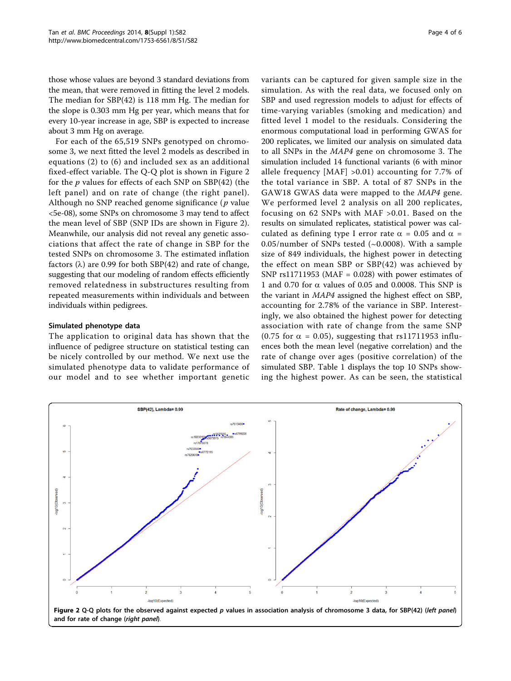those whose values are beyond 3 standard deviations from the mean, that were removed in fitting the level 2 models. The median for SBP(42) is 118 mm Hg. The median for the slope is 0.303 mm Hg per year, which means that for every 10-year increase in age, SBP is expected to increase about 3 mm Hg on average.

For each of the 65,519 SNPs genotyped on chromosome 3, we next fitted the level 2 models as described in equations (2) to (6) and included sex as an additional fixed-effect variable. The Q-Q plot is shown in Figure 2 for the  $p$  values for effects of each SNP on SBP(42) (the left panel) and on rate of change (the right panel). Although no SNP reached genome significance ( $p$  value <5e-08), some SNPs on chromosome 3 may tend to affect the mean level of SBP (SNP IDs are shown in Figure 2). Meanwhile, our analysis did not reveal any genetic associations that affect the rate of change in SBP for the tested SNPs on chromosome 3. The estimated inflation factors  $(\lambda)$  are 0.99 for both SBP(42) and rate of change, suggesting that our modeling of random effects efficiently removed relatedness in substructures resulting from repeated measurements within individuals and between individuals within pedigrees.

### Simulated phenotype data

The application to original data has shown that the influence of pedigree structure on statistical testing can be nicely controlled by our method. We next use the simulated phenotype data to validate performance of our model and to see whether important genetic

variants can be captured for given sample size in the simulation. As with the real data, we focused only on SBP and used regression models to adjust for effects of time-varying variables (smoking and medication) and fitted level 1 model to the residuals. Considering the enormous computational load in performing GWAS for 200 replicates, we limited our analysis on simulated data to all SNPs in the MAP4 gene on chromosome 3. The simulation included 14 functional variants (6 with minor allele frequency [MAF] >0.01) accounting for 7.7% of the total variance in SBP. A total of 87 SNPs in the GAW18 GWAS data were mapped to the MAP4 gene. We performed level 2 analysis on all 200 replicates, focusing on 62 SNPs with MAF >0.01. Based on the results on simulated replicates, statistical power was calculated as defining type I error rate  $\alpha = 0.05$  and  $\alpha =$ 0.05/number of SNPs tested  $(\sim 0.0008)$ . With a sample size of 849 individuals, the highest power in detecting the effect on mean SBP or SBP(42) was achieved by SNP  $rs11711953$  (MAF = 0.028) with power estimates of 1 and 0.70 for  $\alpha$  values of 0.05 and 0.0008. This SNP is the variant in MAP4 assigned the highest effect on SBP, accounting for 2.78% of the variance in SBP. Interestingly, we also obtained the highest power for detecting association with rate of change from the same SNP (0.75 for  $\alpha$  = 0.05), suggesting that rs11711953 influences both the mean level (negative correlation) and the rate of change over ages (positive correlation) of the simulated SBP. Table [1](#page-4-0) displays the top 10 SNPs showing the highest power. As can be seen, the statistical

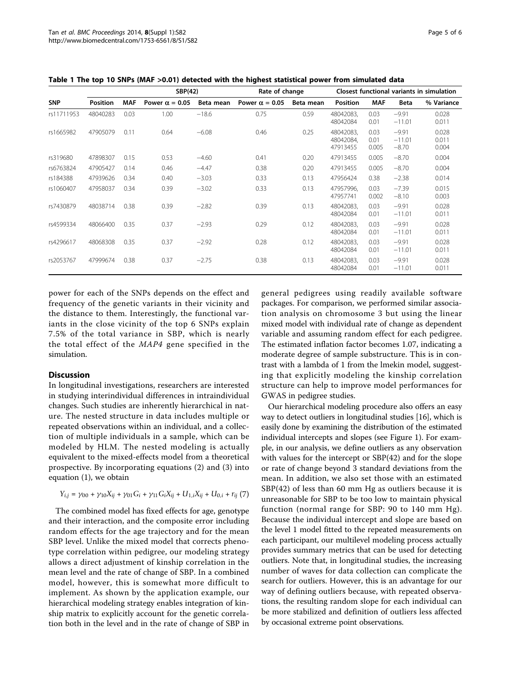|            |                 |            | SBP(42)               |           | Rate of change        |           | Closest functional variants in simulation |                       |                                |                         |
|------------|-----------------|------------|-----------------------|-----------|-----------------------|-----------|-------------------------------------------|-----------------------|--------------------------------|-------------------------|
| <b>SNP</b> | <b>Position</b> | <b>MAF</b> | Power $\alpha = 0.05$ | Beta mean | Power $\alpha = 0.05$ | Beta mean | <b>Position</b>                           | <b>MAF</b>            | <b>Beta</b>                    | % Variance              |
| rs11711953 | 48040283        | 0.03       | 1.00                  | $-18.6$   | 0.75                  | 0.59      | 48042083,<br>48042084                     | 0.03<br>0.01          | $-9.91$<br>$-11.01$            | 0.028<br>0.011          |
| rs1665982  | 47905079        | 0.11       | 0.64                  | $-6.08$   | 0.46                  | 0.25      | 48042083.<br>48042084.<br>47913455        | 0.03<br>0.01<br>0.005 | $-9.91$<br>$-11.01$<br>$-8.70$ | 0.028<br>0.011<br>0.004 |
| rs319680   | 47898307        | 0.15       | 0.53                  | $-4.60$   | 0.41                  | 0.20      | 47913455                                  | 0.005                 | $-8.70$                        | 0.004                   |
| rs6763824  | 47905427        | 0.14       | 0.46                  | $-4.47$   | 0.38                  | 0.20      | 47913455                                  | 0.005                 | $-8.70$                        | 0.004                   |
| rs184388   | 47939626        | 0.34       | 0.40                  | $-3.03$   | 0.33                  | 0.13      | 47956424                                  | 0.38                  | $-2.38$                        | 0.014                   |
| rs1060407  | 47958037        | 0.34       | 0.39                  | $-3.02$   | 0.33                  | 0.13      | 47957996.<br>47957741                     | 0.03<br>0.002         | $-7.39$<br>$-8.10$             | 0.015<br>0.003          |
| rs7430879  | 48038714        | 0.38       | 0.39                  | $-2.82$   | 0.39                  | 0.13      | 48042083.<br>48042084                     | 0.03<br>0.01          | $-9.91$<br>$-11.01$            | 0.028<br>0.011          |
| rs4599334  | 48066400        | 0.35       | 0.37                  | $-2.93$   | 0.29                  | 0.12      | 48042083,<br>48042084                     | 0.03<br>0.01          | $-9.91$<br>$-11.01$            | 0.028<br>0.011          |
| rs4296617  | 48068308        | 0.35       | 0.37                  | $-2.92$   | 0.28                  | 0.12      | 48042083.<br>48042084                     | 0.03<br>0.01          | $-9.91$<br>$-11.01$            | 0.028<br>0.011          |
| rs2053767  | 47999674        | 0.38       | 0.37                  | $-2.75$   | 0.38                  | 0.13      | 48042083.<br>48042084                     | 0.03<br>0.01          | $-9.91$<br>$-11.01$            | 0.028<br>0.011          |

<span id="page-4-0"></span>Table 1 The top 10 SNPs (MAF >0.01) detected with the highest statistical power from simulated data

power for each of the SNPs depends on the effect and frequency of the genetic variants in their vicinity and the distance to them. Interestingly, the functional variants in the close vicinity of the top 6 SNPs explain 7.5% of the total variance in SBP, which is nearly the total effect of the MAP4 gene specified in the simulation.

## Discussion

In longitudinal investigations, researchers are interested in studying interindividual differences in intraindividual changes. Such studies are inherently hierarchical in nature. The nested structure in data includes multiple or repeated observations within an individual, and a collection of multiple individuals in a sample, which can be modeled by HLM. The nested modeling is actually equivalent to the mixed-effects model from a theoretical prospective. By incorporating equations (2) and (3) into equation (1), we obtain

$$
Y_{i,j} = \gamma_{00} + \gamma_{10} X_{ij} + \gamma_{01} G_i + \gamma_{11} G_i X_{ij} + U_{1,i} X_{ij} + U_{0,i} + r_{ij} (7)
$$

The combined model has fixed effects for age, genotype and their interaction, and the composite error including random effects for the age trajectory and for the mean SBP level. Unlike the mixed model that corrects phenotype correlation within pedigree, our modeling strategy allows a direct adjustment of kinship correlation in the mean level and the rate of change of SBP. In a combined model, however, this is somewhat more difficult to implement. As shown by the application example, our hierarchical modeling strategy enables integration of kinship matrix to explicitly account for the genetic correlation both in the level and in the rate of change of SBP in general pedigrees using readily available software packages. For comparison, we performed similar association analysis on chromosome 3 but using the linear mixed model with individual rate of change as dependent variable and assuming random effect for each pedigree. The estimated inflation factor becomes 1.07, indicating a moderate degree of sample substructure. This is in contrast with a lambda of 1 from the lmekin model, suggesting that explicitly modeling the kinship correlation structure can help to improve model performances for GWAS in pedigree studies.

Our hierarchical modeling procedure also offers an easy way to detect outliers in longitudinal studies [\[16\]](#page-5-0), which is easily done by examining the distribution of the estimated individual intercepts and slopes (see Figure [1](#page-2-0)). For example, in our analysis, we define outliers as any observation with values for the intercept or SBP(42) and for the slope or rate of change beyond 3 standard deviations from the mean. In addition, we also set those with an estimated SBP(42) of less than 60 mm Hg as outliers because it is unreasonable for SBP to be too low to maintain physical function (normal range for SBP: 90 to 140 mm Hg). Because the individual intercept and slope are based on the level 1 model fitted to the repeated measurements on each participant, our multilevel modeling process actually provides summary metrics that can be used for detecting outliers. Note that, in longitudinal studies, the increasing number of waves for data collection can complicate the search for outliers. However, this is an advantage for our way of defining outliers because, with repeated observations, the resulting random slope for each individual can be more stabilized and definition of outliers less affected by occasional extreme point observations.